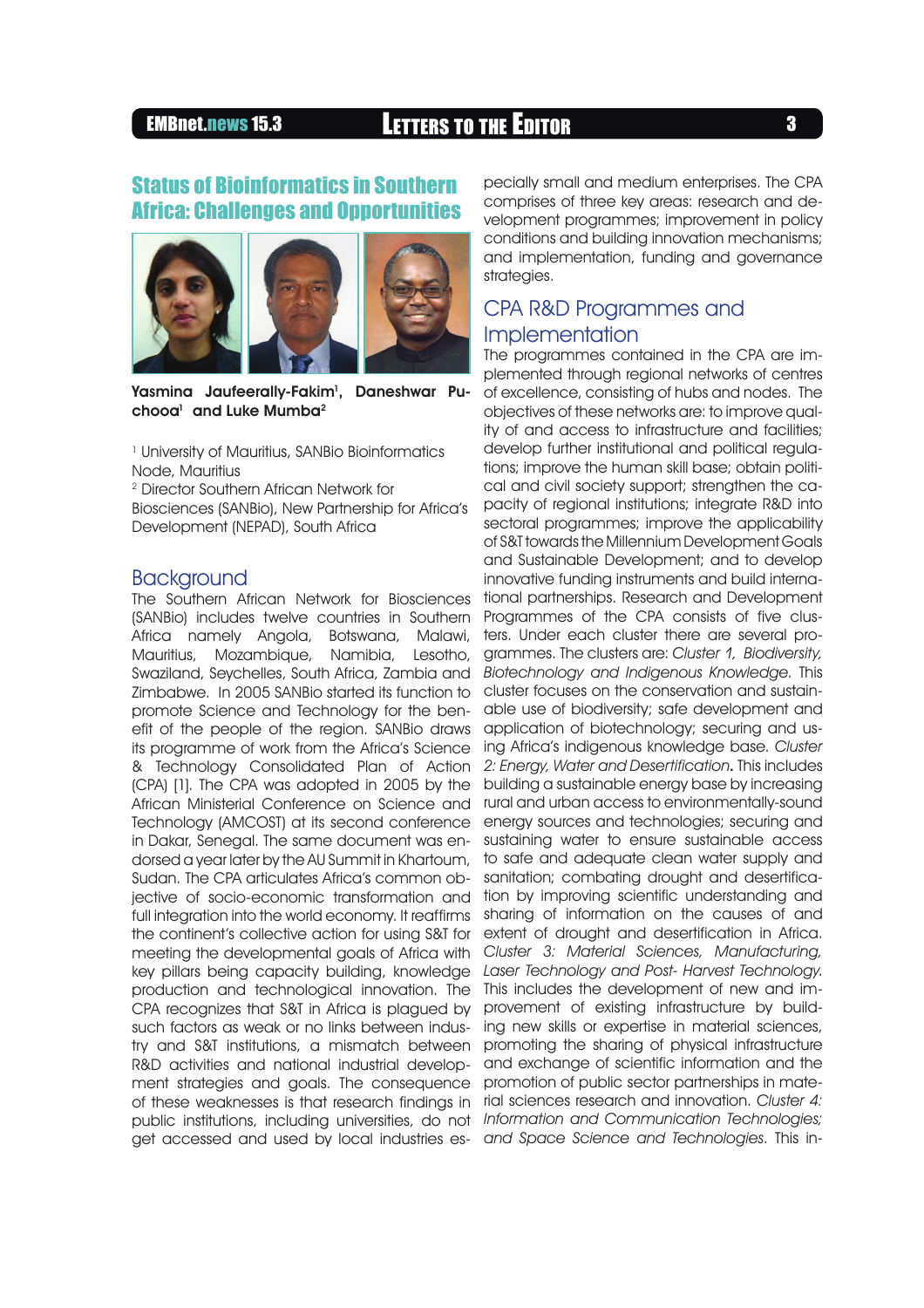# EMBnet.news 15.3 LETTERS TO THE EDITOR <sup>3</sup>

## Status of Bioinformatics in Southern Africa: Challenges and Opportunities



Yasmina Jaufeerally-Fakim<sup>1</sup>, Daneshwar Puchooa $^{\rm l}$  and Luke Mumba $^{\rm 2}$ 

1 University of Mauritius, SANBio Bioinformatics Node, Mauritius

2 Director Southern African Network for Biosciences (SANBio), New Partnership for Africa's Development (NEPAD), South Africa

## **Backaround**

The Southern African Network for Biosciences (SANBio) includes twelve countries in Southern Africa namely Angola, Botswana, Malawi, Mauritius, Mozambique, Namibia, Lesotho, Swaziland, Seychelles, South Africa, Zambia and Zimbabwe. In 2005 SANBio started its function to promote Science and Technology for the benefit of the people of the region. SANBio draws its programme of work from the Africa's Science & Technology Consolidated Plan of Action (CPA) [1]. The CPA was adopted in 2005 by the African Ministerial Conference on Science and Technology (AMCOST) at its second conference in Dakar, Senegal. The same document was endorsed a year later by the AU Summit in Khartoum, Sudan. The CPA articulates Africa's common objective of socio-economic transformation and full integration into the world economy. It reaffirms the continent's collective action for using S&T for meeting the developmental goals of Africa with key pillars being capacity building, knowledge production and technological innovation. The CPA recognizes that S&T in Africa is plagued by such factors as weak or no links between industry and S&T institutions, a mismatch between R&D activities and national industrial development strategies and goals. The consequence

pecially small and medium enterprises. The CPA comprises of three key areas: research and development programmes; improvement in policy conditions and building innovation mechanisms; and implementation, funding and governance strategies.

## CPA R&D Programmes and Implementation

of these weaknesses is that research findings in rial sciences research and innovation. *Cluster 4:*  public institutions, including universities, do not *Information and Communication Technologies;*  get accessed and used by local industries es-*and Space Science and Technologies*. This in-The programmes contained in the CPA are implemented through regional networks of centres of excellence, consisting of hubs and nodes. The objectives of these networks are: to improve quality of and access to infrastructure and facilities; develop further institutional and political regulations; improve the human skill base; obtain political and civil society support; strengthen the capacity of regional institutions; integrate R&D into sectoral programmes; improve the applicability of S&T towards the Millennium Development Goals and Sustainable Development; and to develop innovative funding instruments and build international partnerships. Research and Development Programmes of the CPA consists of five clusters. Under each cluster there are several programmes. The clusters are: *Cluster 1, Biodiversity, Biotechnology and Indigenous Knowledge*. This cluster focuses on the conservation and sustainable use of biodiversity; safe development and application of biotechnology; securing and using Africa's indigenous knowledge base. *Cluster 2: Energy, Water and Desertification*. This includes building a sustainable energy base by increasing rural and urban access to environmentally-sound energy sources and technologies; securing and sustaining water to ensure sustainable access to safe and adequate clean water supply and sanitation; combating drought and desertification by improving scientific understanding and sharing of information on the causes of and extent of drought and desertification in Africa. *Cluster 3: Material Sciences, Manufacturing, Laser Technology and Post- Harvest Technology*. This includes the development of new and improvement of existing infrastructure by building new skills or expertise in material sciences, promoting the sharing of physical infrastructure and exchange of scientific information and the promotion of public sector partnerships in mate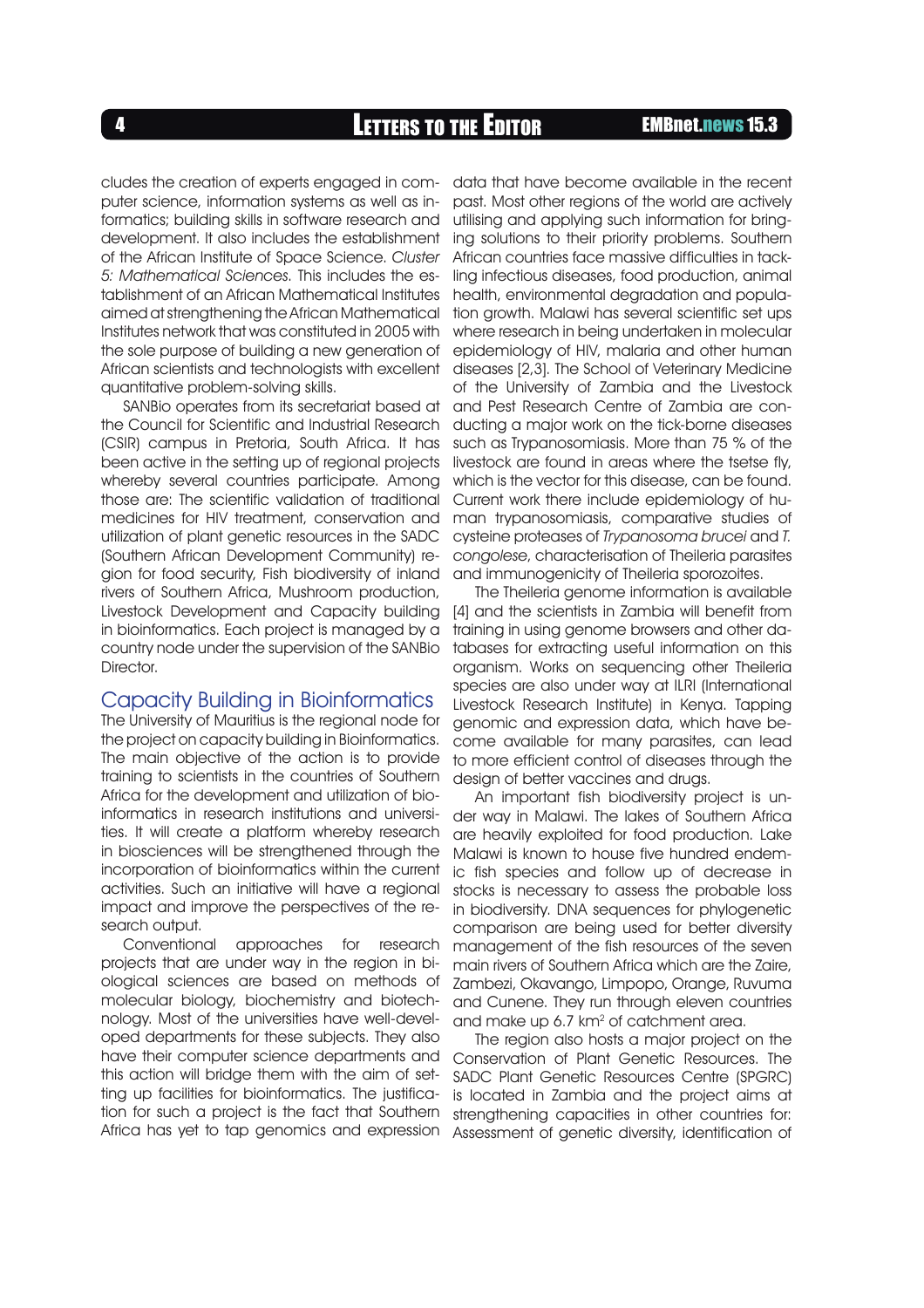<sup>4</sup> LETTERS TO THE EDITOR EMBnet.news 15.3

cludes the creation of experts engaged in computer science, information systems as well as informatics; building skills in software research and development. It also includes the establishment of the African Institute of Space Science. *Cluster 5: Mathematical Sciences*. This includes the establishment of an African Mathematical Institutes aimed at strengthening the African Mathematical Institutes network that was constituted in 2005 with the sole purpose of building a new generation of African scientists and technologists with excellent quantitative problem-solving skills.

SANBio operates from its secretariat based at the Council for Scientific and Industrial Research (CSIR) campus in Pretoria, South Africa. It has been active in the setting up of regional projects whereby several countries participate. Among those are: The scientific validation of traditional medicines for HIV treatment, conservation and utilization of plant genetic resources in the SADC (Southern African Development Community) region for food security, Fish biodiversity of inland rivers of Southern Africa, Mushroom production, Livestock Development and Capacity building in bioinformatics. Each project is managed by a country node under the supervision of the SANBio Director.

### Capacity Building in Bioinformatics

The University of Mauritius is the regional node for the project on capacity building in Bioinformatics. The main objective of the action is to provide training to scientists in the countries of Southern Africa for the development and utilization of bioinformatics in research institutions and universities. It will create a platform whereby research in biosciences will be strengthened through the incorporation of bioinformatics within the current activities. Such an initiative will have a regional impact and improve the perspectives of the research output.

Conventional approaches for research projects that are under way in the region in biological sciences are based on methods of molecular biology, biochemistry and biotechnology. Most of the universities have well-developed departments for these subjects. They also have their computer science departments and this action will bridge them with the aim of setting up facilities for bioinformatics. The justification for such a project is the fact that Southern Africa has yet to tap genomics and expression

data that have become available in the recent past. Most other regions of the world are actively utilising and applying such information for bringing solutions to their priority problems. Southern African countries face massive difficulties in tackling infectious diseases, food production, animal health, environmental degradation and population growth. Malawi has several scientific set ups where research in being undertaken in molecular epidemiology of HIV, malaria and other human diseases [2,3]. The School of Veterinary Medicine of the University of Zambia and the Livestock and Pest Research Centre of Zambia are conducting a major work on the tick-borne diseases such as Trypanosomiasis. More than 75 % of the livestock are found in areas where the tsetse fly, which is the vector for this disease, can be found. Current work there include epidemiology of human trypanosomiasis, comparative studies of cysteine proteases of *Trypanosoma brucei* and *T. congolese*, characterisation of Theileria parasites and immunogenicity of Theileria sporozoites.

The Theileria genome information is available [4] and the scientists in Zambia will benefit from training in using genome browsers and other databases for extracting useful information on this organism. Works on sequencing other Theileria species are also under way at ILRI (International Livestock Research Institute) in Kenya. Tapping genomic and expression data, which have become available for many parasites, can lead to more efficient control of diseases through the design of better vaccines and drugs.

An important fish biodiversity project is under way in Malawi. The lakes of Southern Africa are heavily exploited for food production. Lake Malawi is known to house five hundred endemic fish species and follow up of decrease in stocks is necessary to assess the probable loss in biodiversity. DNA sequences for phylogenetic comparison are being used for better diversity management of the fish resources of the seven main rivers of Southern Africa which are the Zaire, Zambezi, Okavango, Limpopo, Orange, Ruvuma and Cunene. They run through eleven countries and make up 6.7 km<sup>2</sup> of catchment area.

The region also hosts a major project on the Conservation of Plant Genetic Resources. The SADC Plant Genetic Resources Centre (SPGRC) is located in Zambia and the project aims at strengthening capacities in other countries for: Assessment of genetic diversity, identification of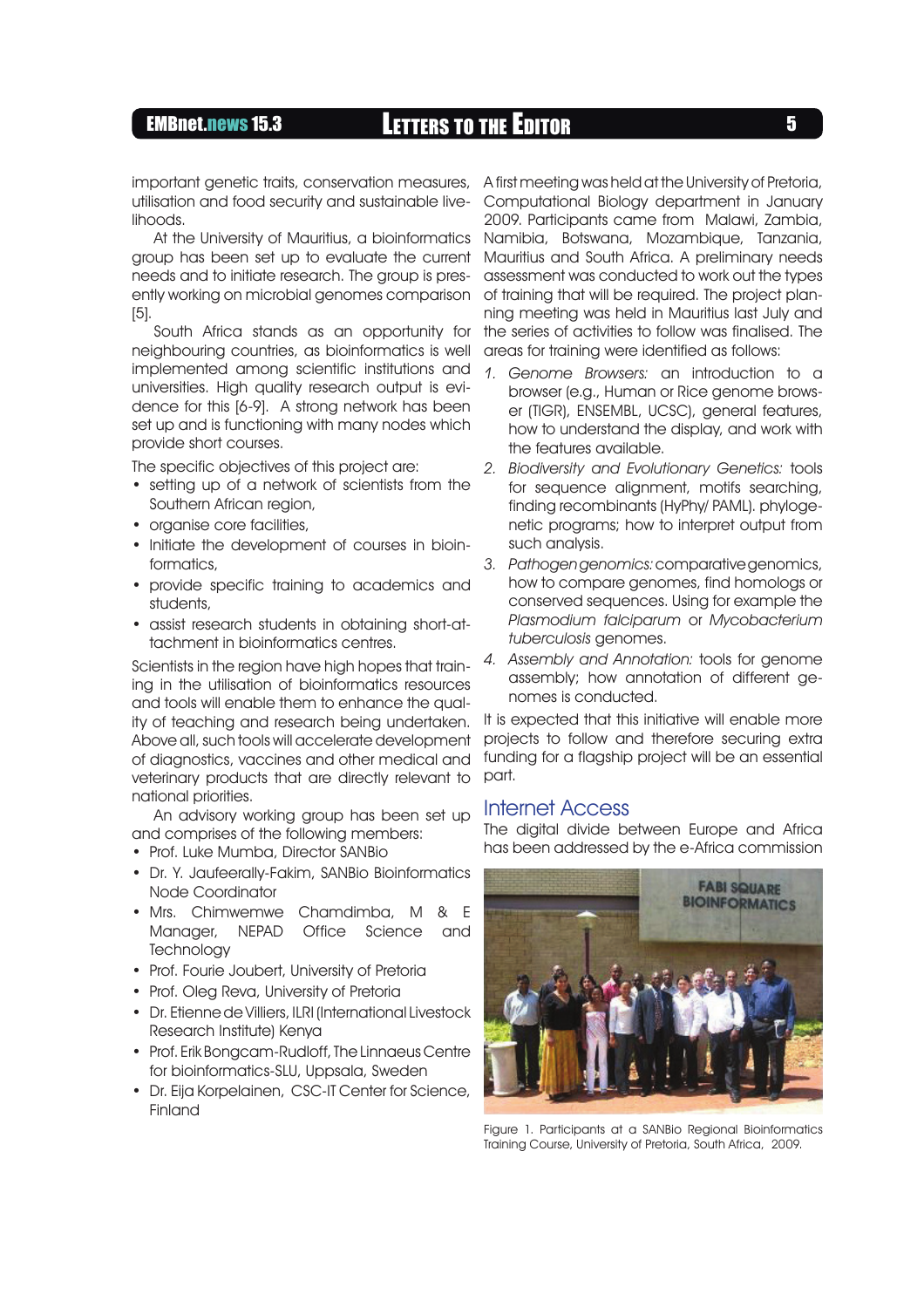# EMBnet.news 15.3 **LETTERS TO THE EDITOR** 5

utilisation and food security and sustainable livelihoods.

At the University of Mauritius, a bioinformatics group has been set up to evaluate the current needs and to initiate research. The group is presently working on microbial genomes comparison [5].

South Africa stands as an opportunity for neighbouring countries, as bioinformatics is well implemented among scientific institutions and universities. High quality research output is evidence for this [6-9]. A strong network has been set up and is functioning with many nodes which provide short courses.

The specific objectives of this project are:

- setting up of a network of scientists from the Southern African region,
- organise core facilities,
- Initiate the development of courses in bioinformatics,
- provide specific training to academics and students,
- assist research students in obtaining short-attachment in bioinformatics centres.

Scientists in the region have high hopes that training in the utilisation of bioinformatics resources and tools will enable them to enhance the quality of teaching and research being undertaken. Above all, such tools will accelerate development of diagnostics, vaccines and other medical and veterinary products that are directly relevant to national priorities.

An advisory working group has been set up and comprises of the following members:

- Prof. Luke Mumba, Director SANBio
- Dr. Y. Jaufeerally-Fakim, SANBio Bioinformatics Node Coordinator
- Mrs. Chimwemwe Chamdimba, M & E Manager, NEPAD Office Science and **Technology**
- Prof. Fourie Joubert, University of Pretoria
- Prof. Oleg Reva, University of Pretoria
- Dr. Etienne de Villiers, ILRI (International Livestock Research Institute) Kenya
- Prof. Erik Bongcam-Rudloff, The Linnaeus Centre for bioinformatics-SLU, Uppsala, Sweden
- Dr. Eija Korpelainen, CSC-IT Center for Science, Finland

important genetic traits, conservation measures, A first meeting was held at the University of Pretoria, Computational Biology department in January 2009. Participants came from Malawi, Zambia, Namibia, Botswana, Mozambique, Tanzania, Mauritius and South Africa. A preliminary needs assessment was conducted to work out the types of training that will be required. The project planning meeting was held in Mauritius last July and the series of activities to follow was finalised. The areas for training were identified as follows:

- *Genome Browsers:* an introduction to a *1.* browser (e.g., Human or Rice genome browser (TIGR), ENSEMBL, UCSC), general features, how to understand the display, and work with the features available.
- *Biodiversity and Evolutionary Genetics:* tools *2.* for sequence alignment, motifs searching, finding recombinants (HyPhy/ PAML). phylogenetic programs; how to interpret output from such analysis.
- *Pathogen genomics:*comparative genomics, *3.* how to compare genomes, find homologs or conserved sequences. Using for example the *Plasmodium falciparum* or *Mycobacterium tuberculosis* genomes.
- *Assembly and Annotation:* tools for genome *4.* assembly; how annotation of different genomes is conducted.

It is expected that this initiative will enable more projects to follow and therefore securing extra funding for a flagship project will be an essential part.

### Internet Access

The digital divide between Europe and Africa has been addressed by the e-Africa commission



Figure 1. Participants at a SANBio Regional Bioinformatics Training Course, University of Pretoria, South Africa, 2009.